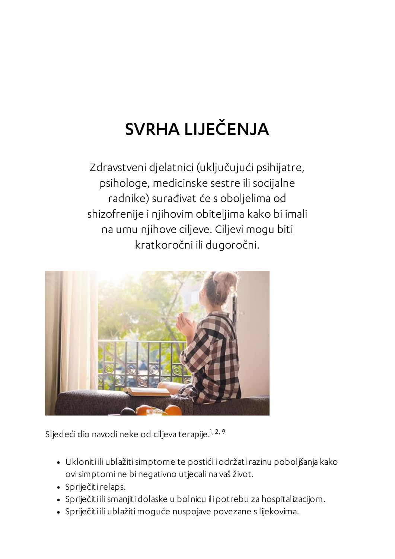## SVRHA LIJEČENJA

Zdravstveni djelatnici (uključujući psihijatre, psihologe, medicinske sestre ili socijalne radnike) surađivat će s oboljelima od shizofrenije i njihovim obiteljima kako bi imali na umu njihove ciljeve. Ciljevi mogu biti kratkoročni ili dugoročni.



Sljedeći dio navodi neke od ciljeva terapije. 1, 2, 9

- Ukloniti ili ublažitisimptome te postići i održatirazinu poboljšanja kako ovisimptomi ne bi negativno utjecali na vaš život.
- · Spriječiti relaps.
- Spriječiti ilismanjiti dolaske u bolnicu ili potrebu za hospitalizacijom.
- Spriječiti ili ublažitimoguće nuspojave povezane s lijekovima.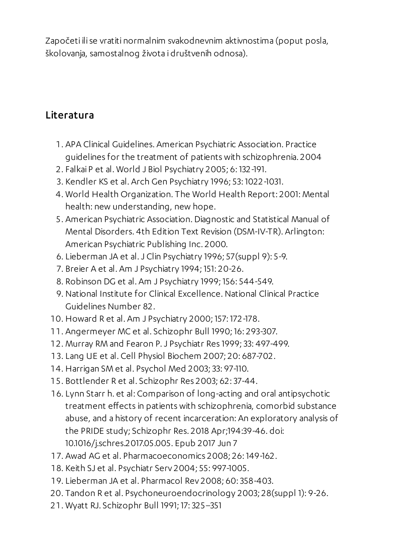Započeti ilise vratiti normalnim svakodnevnim aktivnostima (poput posla, školovanja, samostalnog života i društvenih odnosa).

## Literatura

- . APA Clinical Guidelines. American Psychiatric Association. Practice guidelines for the treatment of patients with schizophrenia. 2004
- . Falkai P et al. World J Biol Psychiatry 2005; 6: 132-191.
- . Kendler KS et al. Arch Gen Psychiatry 1996; 53: 1022-1031.
- . World Health Organization. The World Health Report: 2001: Mental health: new understanding, new hope.
- . American Psychiatric Association. Diagnostic and Statistical Manual of Mental Disorders. 4th Edition Text Revision (DSM-IV-TR). Arlington: American Psychiatric Publishing Inc. 2000.
- . Lieberman JA et al.J Clin Psychiatry 1996; 57(suppl 9): 5-9.
- . Breier A et al. Am J Psychiatry 1994; 151: 20-26.
- . Robinson DG et al. Am J Psychiatry 1999; 156: 544-549.
- . National Institute for Clinical Excellence.National Clinical Practice Guidelines Number 82.
- . Howard R et al. Am J Psychiatry 2000; 157: 172-178.
- . Angermeyer MC et al. Schizophr Bull 1990; 16: 293-307.
- . Murray RM and Fearon P.J Psychiatr Res 1999;33: 497-499.
- . Lang UE et al. Cell Physiol Biochem 2007; 20: 687-702.
- . Harrigan SM et al. Psychol Med 2003;33: 97-110.
- . Bottlender R et al. Schizophr Res 2003; 62:37-44.
- . Lynn Starr h. et al: Comparison of long-acting and oral antipsychotic treatment effects in patients with schizophrenia, comorbid substance abuse, and a history of recent incarceration: An exploratory analysis of the PRIDE study; Schizophr Res. 2018 Apr;194:39-46. doi: 10.1016/j.schres.2017.05.005. Epub 2017 Jun 7
- . Awad AG et al. Pharmacoeconomics 2008; 26: 149-162.
- . Keith SJ et al. Psychiatr Serv 2004; 55: 997-1005.
- . Lieberman JA et al. Pharmacol Rev 2008; 60:358-403.
- . Tandon R et al. Psychoneuroendocrinology 2003; 28(suppl 1): 9-26.
- . Wyatt RJ. Schizophr Bull 1991; 17:325–351